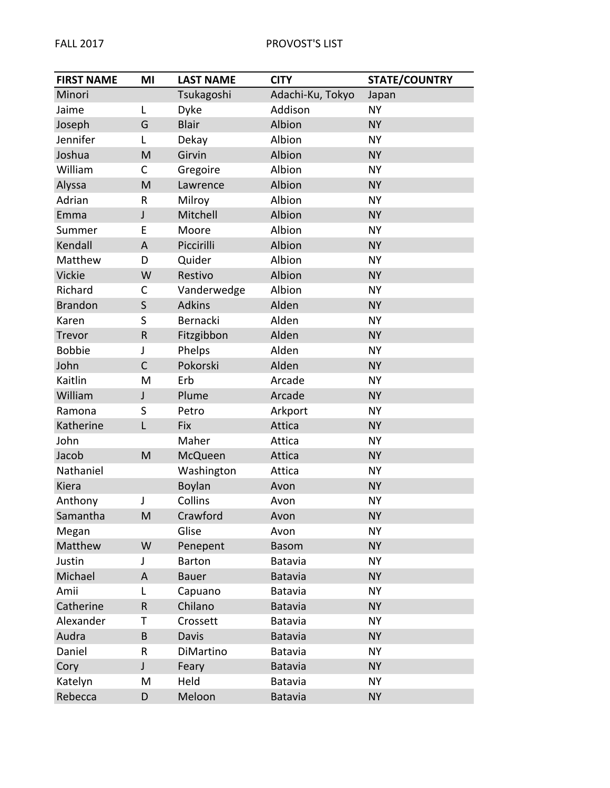| <b>FIRST NAME</b> | MI           | <b>LAST NAME</b> | <b>CITY</b>      | <b>STATE/COUNTRY</b> |
|-------------------|--------------|------------------|------------------|----------------------|
| Minori            |              | Tsukagoshi       | Adachi-Ku, Tokyo | Japan                |
| Jaime             | L            | <b>Dyke</b>      | Addison          | <b>NY</b>            |
| Joseph            | G            | <b>Blair</b>     | Albion           | <b>NY</b>            |
| Jennifer          | L            | Dekay            | Albion           | <b>NY</b>            |
| Joshua            | M            | Girvin           | Albion           | <b>NY</b>            |
| William           | C            | Gregoire         | Albion           | <b>NY</b>            |
| Alyssa            | M            | Lawrence         | Albion           | <b>NY</b>            |
| Adrian            | R            | Milroy           | Albion           | <b>NY</b>            |
| Emma              | $\mathsf J$  | Mitchell         | Albion           | <b>NY</b>            |
| Summer            | Е            | Moore            | Albion           | <b>NY</b>            |
| Kendall           | A            | Piccirilli       | Albion           | <b>NY</b>            |
| Matthew           | D            | Quider           | Albion           | <b>NY</b>            |
| Vickie            | W            | Restivo          | Albion           | <b>NY</b>            |
| Richard           | C            | Vanderwedge      | Albion           | <b>NY</b>            |
| <b>Brandon</b>    | S            | <b>Adkins</b>    | Alden            | <b>NY</b>            |
| Karen             | S            | Bernacki         | Alden            | <b>NY</b>            |
| Trevor            | $\mathsf R$  | Fitzgibbon       | Alden            | <b>NY</b>            |
| <b>Bobbie</b>     | J            | Phelps           | Alden            | <b>NY</b>            |
| John              | $\mathsf{C}$ | Pokorski         | Alden            | <b>NY</b>            |
| Kaitlin           | M            | Erb              | Arcade           | <b>NY</b>            |
| William           | $\mathsf{J}$ | Plume            | Arcade           | <b>NY</b>            |
| Ramona            | S            | Petro            | Arkport          | <b>NY</b>            |
| Katherine         | L            | Fix              | Attica           | <b>NY</b>            |
| John              |              | Maher            | Attica           | <b>NY</b>            |
| Jacob             | M            | McQueen          | Attica           | <b>NY</b>            |
| Nathaniel         |              | Washington       | Attica           | <b>NY</b>            |
| Kiera             |              | Boylan           | Avon             | <b>NY</b>            |
| Anthony           | J            | Collins          | Avon             | <b>NY</b>            |
| Samantha          | M            | Crawford         | Avon             | <b>NY</b>            |
| Megan             |              | Glise            | Avon             | <b>NY</b>            |
| Matthew           | W            | Penepent         | <b>Basom</b>     | <b>NY</b>            |
| Justin            | J            | <b>Barton</b>    | Batavia          | <b>NY</b>            |
| Michael           | A            | <b>Bauer</b>     | Batavia          | <b>NY</b>            |
| Amii              | L            | Capuano          | Batavia          | <b>NY</b>            |
| Catherine         | $\sf R$      | Chilano          | <b>Batavia</b>   | <b>NY</b>            |
| Alexander         | Τ            | Crossett         | Batavia          | <b>NY</b>            |
| Audra             | B            | Davis            | <b>Batavia</b>   | <b>NY</b>            |
| Daniel            | R            | DiMartino        | Batavia          | <b>NY</b>            |
| Cory              | $\mathsf J$  | Feary            | <b>Batavia</b>   | <b>NY</b>            |
| Katelyn           | M            | Held             | Batavia          | <b>NY</b>            |
| Rebecca           | D            | Meloon           | Batavia          | <b>NY</b>            |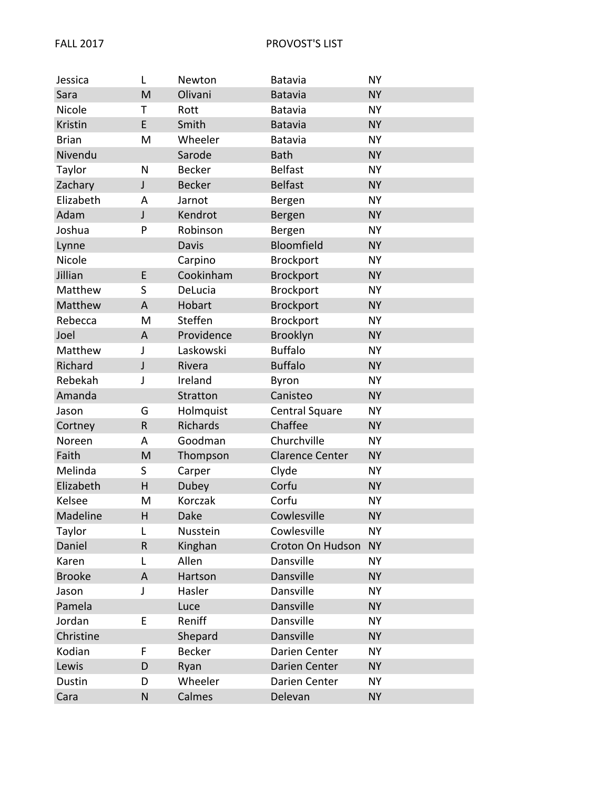| Jessica       | L            | Newton        | Batavia                | <b>NY</b> |
|---------------|--------------|---------------|------------------------|-----------|
| Sara          | M            | Olivani       | <b>Batavia</b>         | <b>NY</b> |
| Nicole        | т            | Rott          | Batavia                | <b>NY</b> |
| Kristin       | E            | Smith         | <b>Batavia</b>         | <b>NY</b> |
| <b>Brian</b>  | M            | Wheeler       | Batavia                | <b>NY</b> |
| Nivendu       |              | Sarode        | <b>Bath</b>            | <b>NY</b> |
| Taylor        | N            | <b>Becker</b> | <b>Belfast</b>         | <b>NY</b> |
| Zachary       | $\mathsf{J}$ | <b>Becker</b> | <b>Belfast</b>         | <b>NY</b> |
| Elizabeth     | A            | Jarnot        | Bergen                 | <b>NY</b> |
| Adam          | $\mathsf{J}$ | Kendrot       | Bergen                 | <b>NY</b> |
| Joshua        | P            | Robinson      | Bergen                 | <b>NY</b> |
| Lynne         |              | <b>Davis</b>  | Bloomfield             | <b>NY</b> |
| Nicole        |              | Carpino       | Brockport              | <b>NY</b> |
| Jillian       | E            | Cookinham     | <b>Brockport</b>       | <b>NY</b> |
| Matthew       | S            | DeLucia       | Brockport              | <b>NY</b> |
| Matthew       | A            | Hobart        | Brockport              | <b>NY</b> |
| Rebecca       | M            | Steffen       | Brockport              | <b>NY</b> |
| Joel          | A            | Providence    | Brooklyn               | <b>NY</b> |
| Matthew       | J            | Laskowski     | <b>Buffalo</b>         | <b>NY</b> |
| Richard       | $\mathsf J$  | Rivera        | <b>Buffalo</b>         | <b>NY</b> |
| Rebekah       | J            | Ireland       | Byron                  | <b>NY</b> |
| Amanda        |              | Stratton      | Canisteo               | <b>NY</b> |
| Jason         | G            | Holmquist     | Central Square         | <b>NY</b> |
| Cortney       | R            | Richards      | Chaffee                | <b>NY</b> |
| Noreen        | A            | Goodman       | Churchville            | <b>NY</b> |
| Faith         | M            | Thompson      | <b>Clarence Center</b> | <b>NY</b> |
| Melinda       | S            | Carper        | Clyde                  | <b>NY</b> |
| Elizabeth     | Н            | Dubey         | Corfu                  | <b>NY</b> |
| Kelsee        | M            | Korczak       | Corfu                  | <b>NY</b> |
| Madeline      | Н            | Dake          | Cowlesville            | <b>NY</b> |
| Taylor        | L            | Nusstein      | Cowlesville            | <b>NY</b> |
| Daniel        | R            | Kinghan       | Croton On Hudson       | <b>NY</b> |
| Karen         | L            | Allen         | Dansville              | <b>NY</b> |
| <b>Brooke</b> | A            | Hartson       | Dansville              | <b>NY</b> |
| Jason         | J            | Hasler        | Dansville              | <b>NY</b> |
| Pamela        |              | Luce          | Dansville              | <b>NY</b> |
| Jordan        | E            | Reniff        | Dansville              | <b>NY</b> |
| Christine     |              | Shepard       | Dansville              | <b>NY</b> |
| Kodian        | F            | <b>Becker</b> | Darien Center          | <b>NY</b> |
| Lewis         | D            | Ryan          | Darien Center          | <b>NY</b> |
| Dustin        | D            | Wheeler       | Darien Center          | <b>NY</b> |
| Cara          | N            | Calmes        | Delevan                | <b>NY</b> |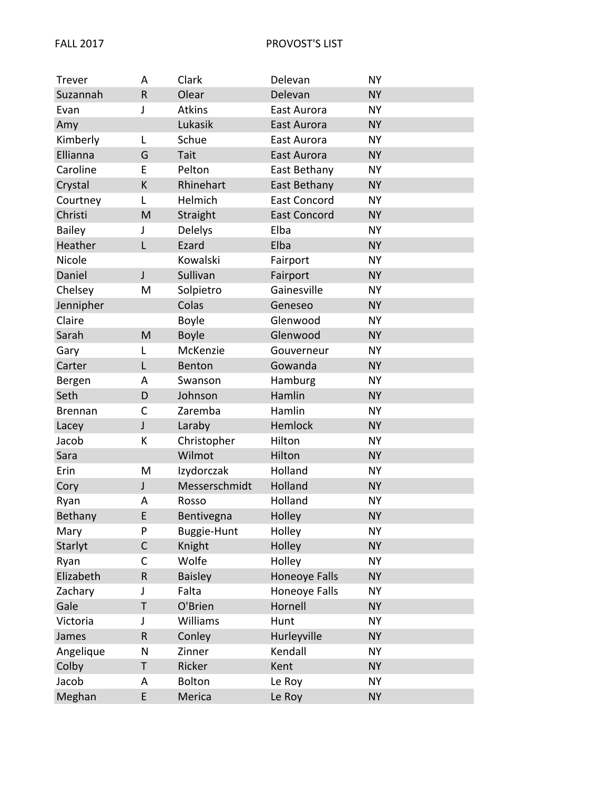| Trever         | A            | Clark              | Delevan             | <b>NY</b> |
|----------------|--------------|--------------------|---------------------|-----------|
| Suzannah       | R            | Olear              | Delevan             | <b>NY</b> |
| Evan           | J            | <b>Atkins</b>      | East Aurora         | <b>NY</b> |
| Amy            |              | Lukasik            | East Aurora         | <b>NY</b> |
| Kimberly       | L            | Schue              | East Aurora         | <b>NY</b> |
| Ellianna       | G            | Tait               | East Aurora         | <b>NY</b> |
| Caroline       | E            | Pelton             | East Bethany        | <b>NY</b> |
| Crystal        | K            | Rhinehart          | East Bethany        | <b>NY</b> |
| Courtney       | L            | Helmich            | <b>East Concord</b> | <b>NY</b> |
| Christi        | M            | Straight           | <b>East Concord</b> | <b>NY</b> |
| <b>Bailey</b>  | J            | Delelys            | Elba                | <b>NY</b> |
| Heather        | L            | Ezard              | Elba                | <b>NY</b> |
| Nicole         |              | Kowalski           | Fairport            | <b>NY</b> |
| Daniel         | $\mathsf{J}$ | Sullivan           | Fairport            | <b>NY</b> |
| Chelsey        | M            | Solpietro          | Gainesville         | <b>NY</b> |
| Jennipher      |              | Colas              | Geneseo             | <b>NY</b> |
| Claire         |              | Boyle              | Glenwood            | <b>NY</b> |
| Sarah          | M            | <b>Boyle</b>       | Glenwood            | <b>NY</b> |
| Gary           | L            | McKenzie           | Gouverneur          | <b>NY</b> |
| Carter         | L            | Benton             | Gowanda             | <b>NY</b> |
| Bergen         | Α            | Swanson            | Hamburg             | <b>NY</b> |
| Seth           | D            | Johnson            | Hamlin              | <b>NY</b> |
| <b>Brennan</b> | $\mathsf{C}$ | Zaremba            | Hamlin              | <b>NY</b> |
| Lacey          | $\mathsf{J}$ | Laraby             | <b>Hemlock</b>      | <b>NY</b> |
| Jacob          | К            | Christopher        | Hilton              | <b>NY</b> |
| Sara           |              | Wilmot             | Hilton              | <b>NY</b> |
| Erin           | M            | Izydorczak         | Holland             | <b>NY</b> |
| Cory           | $\mathsf{J}$ | Messerschmidt      | Holland             | <b>NY</b> |
| Ryan           | A            | Rosso              | Holland             | <b>NY</b> |
| Bethany        | E            | Bentivegna         | Holley              | <b>NY</b> |
| Mary           | P            | <b>Buggie-Hunt</b> | Holley              | <b>NY</b> |
| Starlyt        | $\mathsf C$  | Knight             | Holley              | <b>NY</b> |
| Ryan           | С            | Wolfe              | Holley              | <b>NY</b> |
| Elizabeth      | R            | <b>Baisley</b>     | Honeoye Falls       | <b>NY</b> |
| Zachary        | J            | Falta              | Honeoye Falls       | <b>NY</b> |
| Gale           | Τ            | O'Brien            | Hornell             | <b>NY</b> |
| Victoria       | J            | Williams           | Hunt                | <b>NY</b> |
| James          | R            | Conley             | Hurleyville         | <b>NY</b> |
| Angelique      | N            | Zinner             | Kendall             | <b>NY</b> |
| Colby          | Τ            | Ricker             | Kent                | <b>NY</b> |
| Jacob          | A            | <b>Bolton</b>      | Le Roy              | <b>NY</b> |
| Meghan         | E            | Merica             | Le Roy              | <b>NY</b> |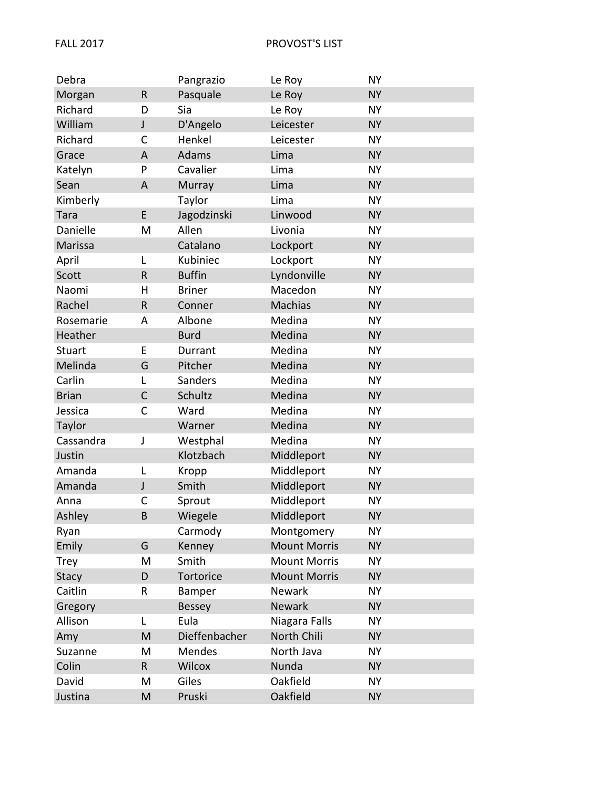| Debra         |             | Pangrazio     | Le Roy              | <b>NY</b> |
|---------------|-------------|---------------|---------------------|-----------|
| Morgan        | R           | Pasquale      | Le Roy              | <b>NY</b> |
| Richard       | D           | Sia           | Le Roy              | <b>NY</b> |
| William       | $\mathsf J$ | D'Angelo      | Leicester           | <b>NY</b> |
| Richard       | C           | Henkel        | Leicester           | <b>NY</b> |
| Grace         | A           | Adams         | Lima                | <b>NY</b> |
| Katelyn       | P           | Cavalier      | Lima                | <b>NY</b> |
| Sean          | A           | Murray        | Lima                | <b>NY</b> |
| Kimberly      |             | Taylor        | Lima                | <b>NY</b> |
| Tara          | E           | Jagodzinski   | Linwood             | <b>NY</b> |
| Danielle      | M           | Allen         | Livonia             | <b>NY</b> |
| Marissa       |             | Catalano      | Lockport            | <b>NY</b> |
| April         | L           | Kubiniec      | Lockport            | <b>NY</b> |
| Scott         | $\mathsf R$ | <b>Buffin</b> | Lyndonville         | <b>NY</b> |
| Naomi         | H           | <b>Briner</b> | Macedon             | <b>NY</b> |
| Rachel        | R           | Conner        | <b>Machias</b>      | <b>NY</b> |
| Rosemarie     | A           | Albone        | Medina              | <b>NY</b> |
| Heather       |             | <b>Burd</b>   | Medina              | <b>NY</b> |
| <b>Stuart</b> | E           | Durrant       | Medina              | <b>NY</b> |
| Melinda       | G           | Pitcher       | Medina              | <b>NY</b> |
| Carlin        | L           | Sanders       | Medina              | <b>NY</b> |
| <b>Brian</b>  | $\mathsf C$ | Schultz       | Medina              | <b>NY</b> |
| Jessica       | C           | Ward          | Medina              | <b>NY</b> |
| Taylor        |             | Warner        | Medina              | <b>NY</b> |
| Cassandra     | J           | Westphal      | Medina              | <b>NY</b> |
| Justin        |             | Klotzbach     | Middleport          | <b>NY</b> |
| Amanda        | L           | Kropp         | Middleport          | <b>NY</b> |
| Amanda        | $\mathsf J$ | Smith         | Middleport          | <b>NY</b> |
| Anna          | C           | Sprout        | Middleport          | <b>NY</b> |
| Ashley        | B           | Wiegele       | Middleport          | <b>NY</b> |
| Ryan          |             | Carmody       | Montgomery          | <b>NY</b> |
| Emily         | G           | Kenney        | <b>Mount Morris</b> | <b>NY</b> |
| <b>Trey</b>   | M           | Smith         | <b>Mount Morris</b> | <b>NY</b> |
| <b>Stacy</b>  | D           | Tortorice     | <b>Mount Morris</b> | <b>NY</b> |
| Caitlin       | R           | Bamper        | Newark              | NΥ        |
| Gregory       |             | <b>Bessey</b> | Newark              | <b>NY</b> |
| Allison       | Г           | Eula          | Niagara Falls       | <b>NY</b> |
| Amy           | M           | Dieffenbacher | North Chili         | <b>NY</b> |
| Suzanne       | Μ           | Mendes        | North Java          | NΥ        |
| Colin         | R           | Wilcox        | Nunda               | <b>NY</b> |
| David         | M           | Giles         | Oakfield            | <b>NY</b> |
| Justina       | M           | Pruski        | Oakfield            | <b>NY</b> |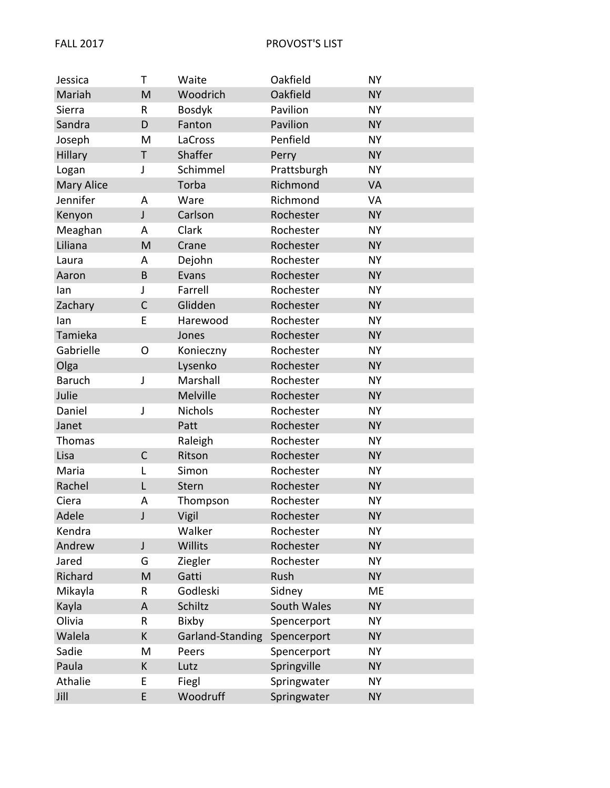| Jessica       | T            | Waite            | Oakfield    | <b>NY</b> |
|---------------|--------------|------------------|-------------|-----------|
| Mariah        | M            | Woodrich         | Oakfield    | <b>NY</b> |
| Sierra        | R            | Bosdyk           | Pavilion    | <b>NY</b> |
| Sandra        | D            | Fanton           | Pavilion    | <b>NY</b> |
| Joseph        | M            | LaCross          | Penfield    | <b>NY</b> |
| Hillary       | T            | Shaffer          | Perry       | <b>NY</b> |
| Logan         | J            | Schimmel         | Prattsburgh | <b>NY</b> |
| Mary Alice    |              | Torba            | Richmond    | VA        |
| Jennifer      | A            | Ware             | Richmond    | VA        |
| Kenyon        | $\mathsf J$  | Carlson          | Rochester   | <b>NY</b> |
| Meaghan       | А            | Clark            | Rochester   | <b>NY</b> |
| Liliana       | M            | Crane            | Rochester   | <b>NY</b> |
| Laura         | А            | Dejohn           | Rochester   | <b>NY</b> |
| Aaron         | B            | Evans            | Rochester   | <b>NY</b> |
| lan           | J            | Farrell          | Rochester   | <b>NY</b> |
| Zachary       | $\mathsf{C}$ | Glidden          | Rochester   | <b>NY</b> |
| lan           | E            | Harewood         | Rochester   | <b>NY</b> |
| Tamieka       |              | Jones            | Rochester   | <b>NY</b> |
| Gabrielle     | O            | Konieczny        | Rochester   | <b>NY</b> |
| Olga          |              | Lysenko          | Rochester   | <b>NY</b> |
| <b>Baruch</b> | J            | Marshall         | Rochester   | <b>NY</b> |
| Julie         |              | Melville         | Rochester   | <b>NY</b> |
| Daniel        | J            | <b>Nichols</b>   | Rochester   | <b>NY</b> |
| Janet         |              | Patt             | Rochester   | <b>NY</b> |
| Thomas        |              | Raleigh          | Rochester   | <b>NY</b> |
| Lisa          | $\mathsf{C}$ | Ritson           | Rochester   | <b>NY</b> |
| Maria         | L            | Simon            | Rochester   | <b>NY</b> |
| Rachel        | L            | Stern            | Rochester   | <b>NY</b> |
| Ciera         | Α            | Thompson         | Rochester   | <b>NY</b> |
| Adele         | J            | Vigil            | Rochester   | <b>NY</b> |
| Kendra        |              | Walker           | Rochester   | <b>NY</b> |
| Andrew        | $\mathsf J$  | Willits          | Rochester   | <b>NY</b> |
| Jared         | G            | Ziegler          | Rochester   | <b>NY</b> |
| Richard       | M            | Gatti            | Rush        | <b>NY</b> |
| Mikayla       | R            | Godleski         | Sidney      | ME        |
| Kayla         | A            | Schiltz          | South Wales | <b>NY</b> |
| Olivia        | R            | Bixby            | Spencerport | <b>NY</b> |
| Walela        | К            | Garland-Standing | Spencerport | <b>NY</b> |
| Sadie         | M            | Peers            | Spencerport | <b>NY</b> |
| Paula         | К            | Lutz             | Springville | <b>NY</b> |
| Athalie       | E            | Fiegl            | Springwater | <b>NY</b> |
| Jill          | E            | Woodruff         | Springwater | <b>NY</b> |